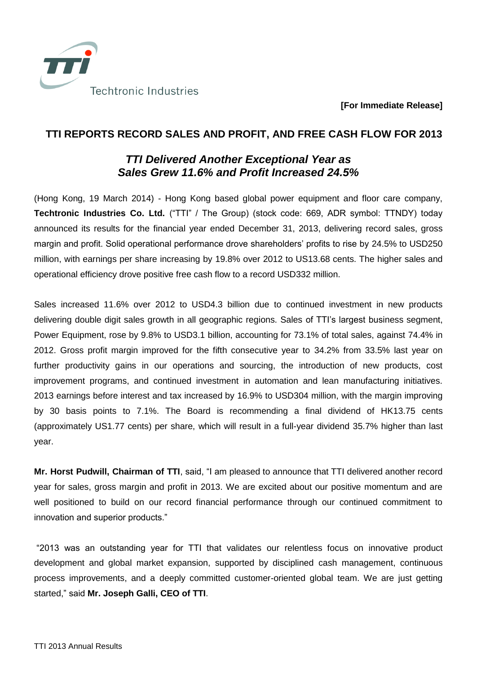

**[For Immediate Release]**

## **TTI REPORTS RECORD SALES AND PROFIT, AND FREE CASH FLOW FOR 2013**

## *TTI Delivered Another Exceptional Year as Sales Grew 11.6% and Profit Increased 24.5%*

(Hong Kong, 19 March 2014) - Hong Kong based global power equipment and floor care company, **Techtronic Industries Co. Ltd.** ("TTI" / The Group) (stock code: 669, ADR symbol: TTNDY) today announced its results for the financial year ended December 31, 2013, delivering record sales, gross margin and profit. Solid operational performance drove shareholders' profits to rise by 24.5% to USD250 million, with earnings per share increasing by 19.8% over 2012 to US13.68 cents. The higher sales and operational efficiency drove positive free cash flow to a record USD332 million.

Sales increased 11.6% over 2012 to USD4.3 billion due to continued investment in new products delivering double digit sales growth in all geographic regions. Sales of TTI's largest business segment, Power Equipment, rose by 9.8% to USD3.1 billion, accounting for 73.1% of total sales, against 74.4% in 2012. Gross profit margin improved for the fifth consecutive year to 34.2% from 33.5% last year on further productivity gains in our operations and sourcing, the introduction of new products, cost improvement programs, and continued investment in automation and lean manufacturing initiatives. 2013 earnings before interest and tax increased by 16.9% to USD304 million, with the margin improving by 30 basis points to 7.1%. The Board is recommending a final dividend of HK13.75 cents (approximately US1.77 cents) per share, which will result in a full-year dividend 35.7% higher than last year.

**Mr. Horst Pudwill, Chairman of TTI**, said, "I am pleased to announce that TTI delivered another record year for sales, gross margin and profit in 2013. We are excited about our positive momentum and are well positioned to build on our record financial performance through our continued commitment to innovation and superior products."

"2013 was an outstanding year for TTI that validates our relentless focus on innovative product development and global market expansion, supported by disciplined cash management, continuous process improvements, and a deeply committed customer-oriented global team. We are just getting started," said **Mr. Joseph Galli, CEO of TTI**.